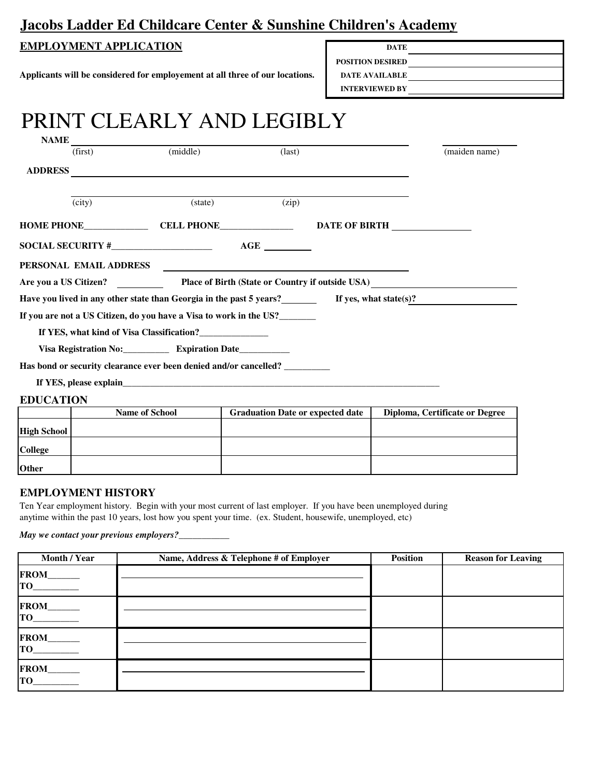## **Jacobs Ladder Ed Childcare Center & Sunshine Children's Academy**

#### **EMPLOYMENT APPLICATION**

**Applicants will be considered for employement at all three of our locations.**

| <b>DATE</b>             |  |
|-------------------------|--|
| <b>POSITION DESIRED</b> |  |
| <b>DATE AVAILABLE</b>   |  |
| <b>INTERVIEWED BY</b>   |  |

# PRINT CLEARLY AND LEGIBLY

| <b>NAME</b>        |                        |                                                                                                                                                                                                                                |                                                  |                                |
|--------------------|------------------------|--------------------------------------------------------------------------------------------------------------------------------------------------------------------------------------------------------------------------------|--------------------------------------------------|--------------------------------|
|                    | (first)                | (middle)                                                                                                                                                                                                                       | $\text{(last)}$                                  | (maiden name)                  |
| <b>ADDRESS</b>     |                        | <u> 1989 - Johann Stein, marking ar yn y brening yn y brening yn y brening y brening yn y brening yn y brening y</u>                                                                                                           |                                                  |                                |
|                    | (city)                 | (state)                                                                                                                                                                                                                        | (zip)                                            |                                |
|                    |                        |                                                                                                                                                                                                                                |                                                  | <b>DATE OF BIRTH</b>           |
|                    |                        |                                                                                                                                                                                                                                |                                                  |                                |
|                    | PERSONAL EMAIL ADDRESS |                                                                                                                                                                                                                                |                                                  |                                |
|                    | Are you a US Citizen?  |                                                                                                                                                                                                                                | Place of Birth (State or Country if outside USA) |                                |
|                    |                        | Have you lived in any other state than Georgia in the past 5 years? If yes, what state(s)?                                                                                                                                     |                                                  |                                |
|                    |                        | If you are not a US Citizen, do you have a Visa to work in the US?                                                                                                                                                             |                                                  |                                |
|                    |                        |                                                                                                                                                                                                                                |                                                  |                                |
|                    |                        | Visa Registration No: ________________ Expiration Date______________                                                                                                                                                           |                                                  |                                |
|                    |                        | Has bond or security clearance ever been denied and/or cancelled? _________                                                                                                                                                    |                                                  |                                |
|                    |                        | If YES, please explain the contract of the contract of the contract of the contract of the contract of the contract of the contract of the contract of the contract of the contract of the contract of the contract of the con |                                                  |                                |
| <b>EDUCATION</b>   |                        |                                                                                                                                                                                                                                |                                                  |                                |
|                    |                        | Name of School                                                                                                                                                                                                                 | <b>Graduation Date or expected date</b>          | Diploma, Certificate or Degree |
| <b>High School</b> |                        |                                                                                                                                                                                                                                |                                                  |                                |
| College            |                        |                                                                                                                                                                                                                                |                                                  |                                |

#### **EMPLOYMENT HISTORY**

**Other**

Ten Year employment history. Begin with your most current of last employer. If you have been unemployed during anytime within the past 10 years, lost how you spent your time. (ex. Student, housewife, unemployed, etc)

*May we contact your previous employers?\_\_\_\_\_\_\_\_\_\_\_*

| Month / Year                           | Name, Address & Telephone # of Employer | <b>Position</b> | <b>Reason for Leaving</b> |
|----------------------------------------|-----------------------------------------|-----------------|---------------------------|
| FROM____<br>TO                         |                                         |                 |                           |
| FROM____<br>TO <b>THE CONSTITUTION</b> |                                         |                 |                           |
| FROM______<br>$\overline{TO}$          |                                         |                 |                           |
| FROM_____<br>$\overline{TO}$           |                                         |                 |                           |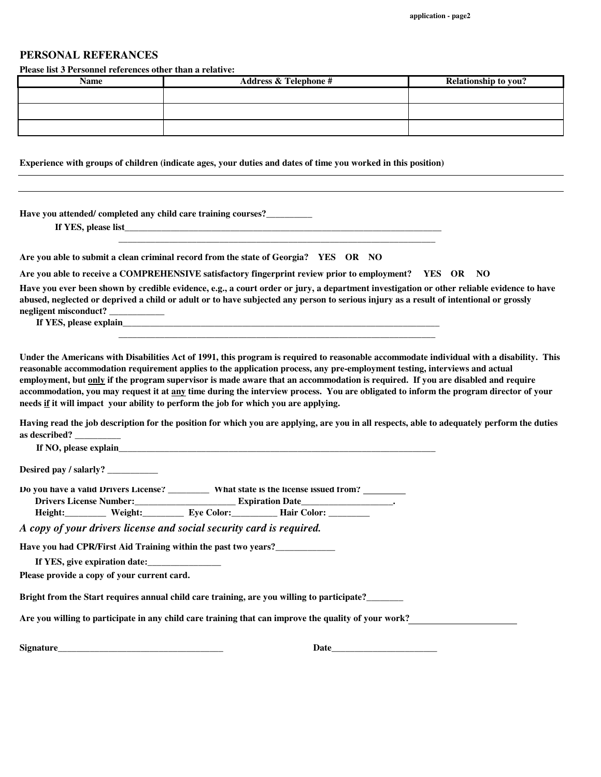#### **PERSONAL REFERANCES**

**Please list 3 Personnel references other than a relative:**

| Name | <b>Address &amp; Telephone #</b> | <b>Relationship to you?</b> |
|------|----------------------------------|-----------------------------|
|      |                                  |                             |
|      |                                  |                             |
|      |                                  |                             |

**Experience with groups of children (indicate ages, your duties and dates of time you worked in this position)**

 **\_\_\_\_\_\_\_\_\_\_\_\_\_\_\_\_\_\_\_\_\_\_\_\_\_\_\_\_\_\_\_\_\_\_\_\_\_\_\_\_\_\_\_\_\_\_\_\_\_\_\_\_\_\_\_\_\_\_\_\_\_\_\_\_\_\_\_\_\_**

 **\_\_\_\_\_\_\_\_\_\_\_\_\_\_\_\_\_\_\_\_\_\_\_\_\_\_\_\_\_\_\_\_\_\_\_\_\_\_\_\_\_\_\_\_\_\_\_\_\_\_\_\_\_\_\_\_\_\_\_\_\_\_\_\_\_\_\_\_\_**

**Have you attended/ completed any child care training courses?\_\_\_\_\_\_\_\_\_\_**

 **If YES, please list\_\_\_\_\_\_\_\_\_\_\_\_\_\_\_\_\_\_\_\_\_\_\_\_\_\_\_\_\_\_\_\_\_\_\_\_\_\_\_\_\_\_\_\_\_\_\_\_\_\_\_\_\_\_\_\_\_\_\_\_\_\_\_\_\_\_\_\_\_**

**Are you able to submit a clean criminal record from the state of Georgia? YES OR NO**

**Are you able to receive a COMPREHENSIVE satisfactory fingerprint review prior to employment? YES OR NO**

**Have you ever been shown by credible evidence, e.g., a court order or jury, a department investigation or other reliable evidence to have abused, neglected or deprived a child or adult or to have subjected any person to serious injury as a result of intentional or grossly negligent misconduct? \_\_\_\_\_\_\_\_\_\_\_\_**

 **If YES, please explain\_\_\_\_\_\_\_\_\_\_\_\_\_\_\_\_\_\_\_\_\_\_\_\_\_\_\_\_\_\_\_\_\_\_\_\_\_\_\_\_\_\_\_\_\_\_\_\_\_\_\_\_\_\_\_\_\_\_\_\_\_\_\_\_\_\_\_\_\_**

**Under the Americans with Disabilities Act of 1991, this program is required to reasonable accommodate individual with a disability. This reasonable accommodation requirement applies to the application process, any pre-employment testing, interviews and actual employment, but only if the program supervisor is made aware that an accommodation is required. If you are disabled and require accommodation, you may request it at any time during the interview process. You are obligated to inform the program director of your needs if it will impact your ability to perform the job for which you are applying.**

**Having read the job description for the position for which you are applying, are you in all respects, able to adequately perform the duties as described? \_\_\_\_\_\_\_\_\_\_**

**If NO, please explain** 

**Desired pay / salarly? \_\_\_\_\_\_\_\_\_\_\_**

**Do you have a valid Drivers License? \_\_\_\_\_\_\_\_\_ What state is the license issued from? . Drivers License Number:\_\_\_\_\_\_\_\_\_\_\_\_\_\_\_\_\_\_\_\_\_\_ Expiration Date\_\_\_\_\_\_\_\_\_\_\_\_\_\_\_\_\_\_\_\_.**

**Height:\_\_\_\_\_\_\_\_\_ Weight:\_\_\_\_\_\_\_\_\_ Eye Color:\_\_\_\_\_\_\_\_\_\_ Hair Color: \_\_\_\_\_\_\_\_\_**

*A copy of your drivers license and social security card is required.*

**Have you had CPR/First Aid Training within the past two years?\_\_\_\_\_\_\_\_\_\_\_\_\_**

**If YES, give expiration date:\_\_\_\_\_\_\_\_\_\_\_\_\_\_\_\_**

**Please provide a copy of your current card.**

**Bright from the Start requires annual child care training, are you willing to participate?\_\_\_\_\_\_\_\_**

**Are you willing to participate in any child care training that can improve the quality of your work?**

**Signature\_\_\_\_\_\_\_\_\_\_\_\_\_\_\_\_\_\_\_\_\_\_\_\_\_\_\_\_\_\_\_\_\_\_\_\_ Date\_\_\_\_\_\_\_\_\_\_\_\_\_\_\_\_\_\_\_\_\_\_\_**